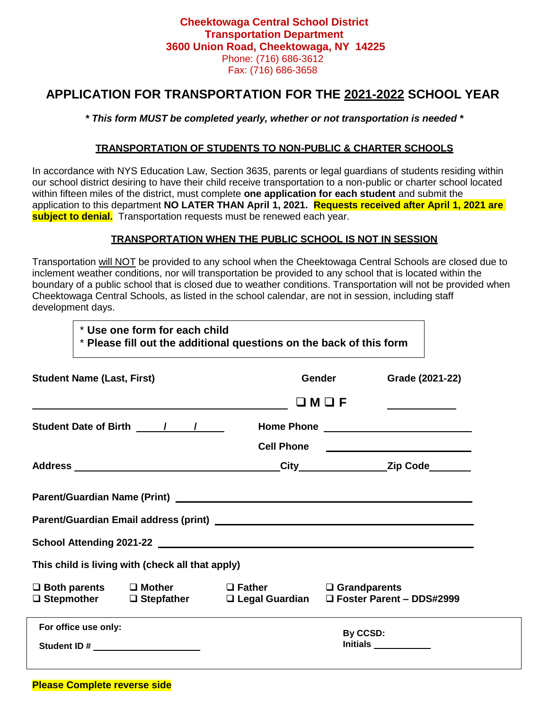# **Cheektowaga Central School District Transportation Department 3600 Union Road, Cheektowaga, NY 14225** Phone: (716) 686-3612 Fax: (716) 686-3658

# **APPLICATION FOR TRANSPORTATION FOR THE 2021-2022 SCHOOL YEAR**

## *\* This form MUST be completed yearly, whether or not transportation is needed \**

### **TRANSPORTATION OF STUDENTS TO NON-PUBLIC & CHARTER SCHOOLS**

In accordance with NYS Education Law, Section 3635, parents or legal guardians of students residing within our school district desiring to have their child receive transportation to a non-public or charter school located within fifteen miles of the district, must complete **one application for each student** and submit the application to this department **NO LATER THAN April 1, 2021. Requests received after April 1, 2021 are subject to denial.** Transportation requests must be renewed each year.

#### **TRANSPORTATION WHEN THE PUBLIC SCHOOL IS NOT IN SESSION**

Transportation will NOT be provided to any school when the Cheektowaga Central Schools are closed due to inclement weather conditions, nor will transportation be provided to any school that is located within the boundary of a public school that is closed due to weather conditions. Transportation will not be provided when Cheektowaga Central Schools, as listed in the school calendar, are not in session, including staff development days.

|                                                                                                                                              | * Use one form for each child<br>* Please fill out the additional questions on the back of this form |                                                  |                         |  |                                      |  |  |  |
|----------------------------------------------------------------------------------------------------------------------------------------------|------------------------------------------------------------------------------------------------------|--------------------------------------------------|-------------------------|--|--------------------------------------|--|--|--|
| <b>Student Name (Last, First)</b>                                                                                                            |                                                                                                      |                                                  | <b>Gender Sender</b>    |  | Grade (2021-22)                      |  |  |  |
|                                                                                                                                              |                                                                                                      |                                                  | $\square$ M $\square$ F |  |                                      |  |  |  |
|                                                                                                                                              |                                                                                                      |                                                  |                         |  |                                      |  |  |  |
|                                                                                                                                              |                                                                                                      |                                                  |                         |  | Cell Phone _________________________ |  |  |  |
|                                                                                                                                              |                                                                                                      |                                                  |                         |  |                                      |  |  |  |
|                                                                                                                                              |                                                                                                      |                                                  |                         |  |                                      |  |  |  |
|                                                                                                                                              |                                                                                                      | This child is living with (check all that apply) |                         |  |                                      |  |  |  |
| $\Box$ Both parents $\Box$ Mother $\Box$ Father $\Box$ Grandparents<br>□ Stepmother □ Stepfather □ Legal Guardian □ Foster Parent – DDS#2999 |                                                                                                      |                                                  |                         |  |                                      |  |  |  |
| For office use only:<br>Student ID # _______________________                                                                                 |                                                                                                      |                                                  | By CCSD:                |  |                                      |  |  |  |